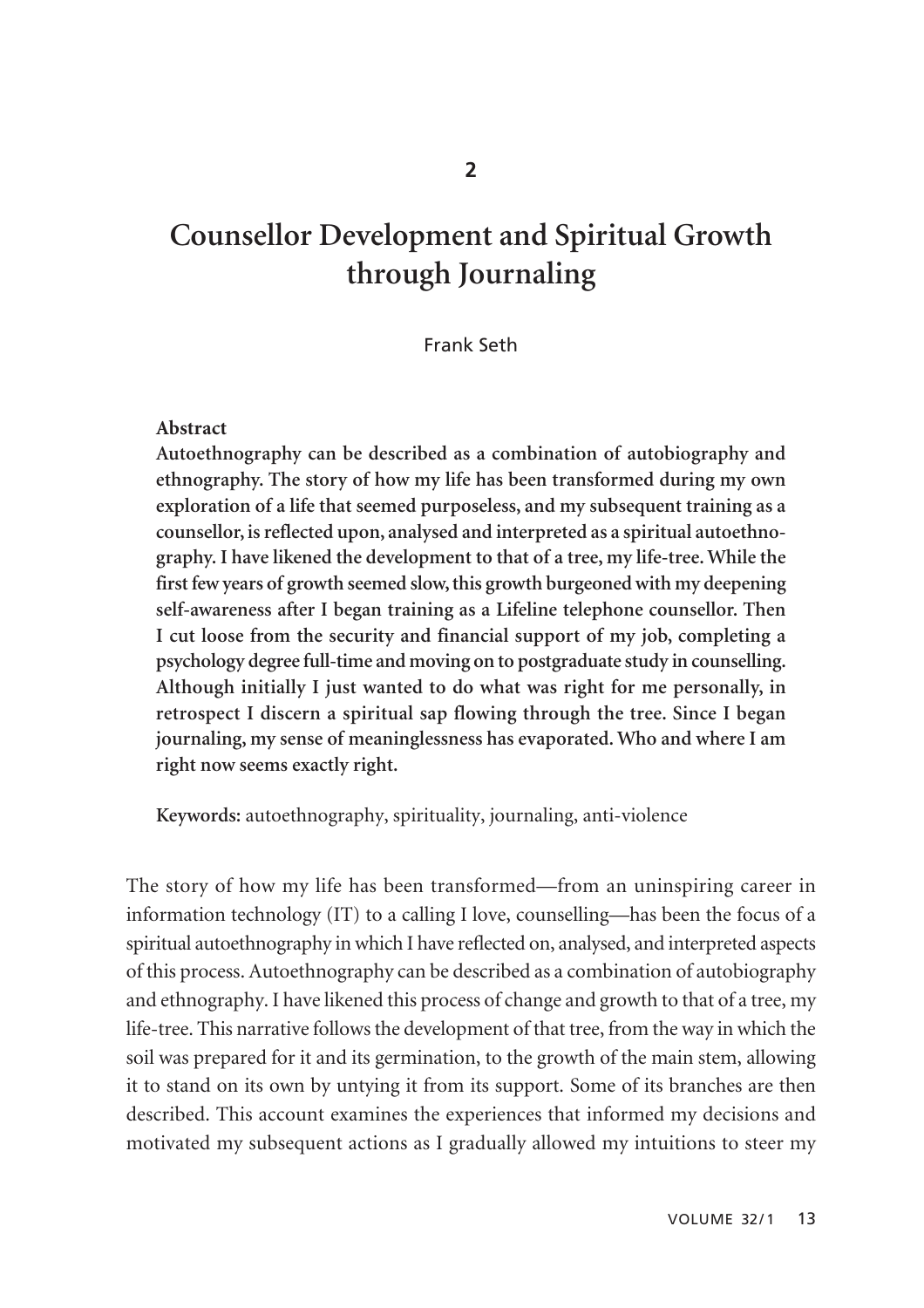# **Counsellor Development and Spiritual Growth through Journaling**

## Frank Seth

#### **Abstract**

**Autoethnography can be described as a combination of autobiography and ethnography. The story of how my life has been transformed during my own exploration of a life that seemed purposeless, and my subsequent training as a counsellor, is reflected upon, analysed and interpreted as a spiritual autoethno graphy. I have likened the development to that of a tree, my life-tree. While the first few years of growth seemed slow, this growth burgeoned with my deepening self-awareness after I began training as a Lifeline telephone counsellor. Then I cut loose from the security and financial support of my job, completing a psychology degree full-time and moving on to postgraduate study in counselling. Although initially I just wanted to do what was right for me personally, in retrospect I discern a spiritual sap flowing through the tree. Since I began journaling, my sense of meaninglessness has evaporated. Who and where I am right now seems exactly right.** 

**Keywords:** autoethnography, spirituality, journaling, anti-violence

The story of how my life has been transformed—from an uninspiring career in information technology (IT) to a calling I love, counselling—has been the focus of a spiritual autoethnography in which I have reflected on, analysed, and interpreted aspects of this process. Autoethnography can be described as a combination of autobiography and ethnography. I have likened this process of change and growth to that of a tree, my life-tree. This narrative follows the development of that tree, from the way in which the soil was prepared for it and its germination, to the growth of the main stem, allowing it to stand on its own by untying it from its support. Some of its branches are then described. This account examines the experiences that informed my decisions and motivated my subsequent actions as I gradually allowed my intuitions to steer my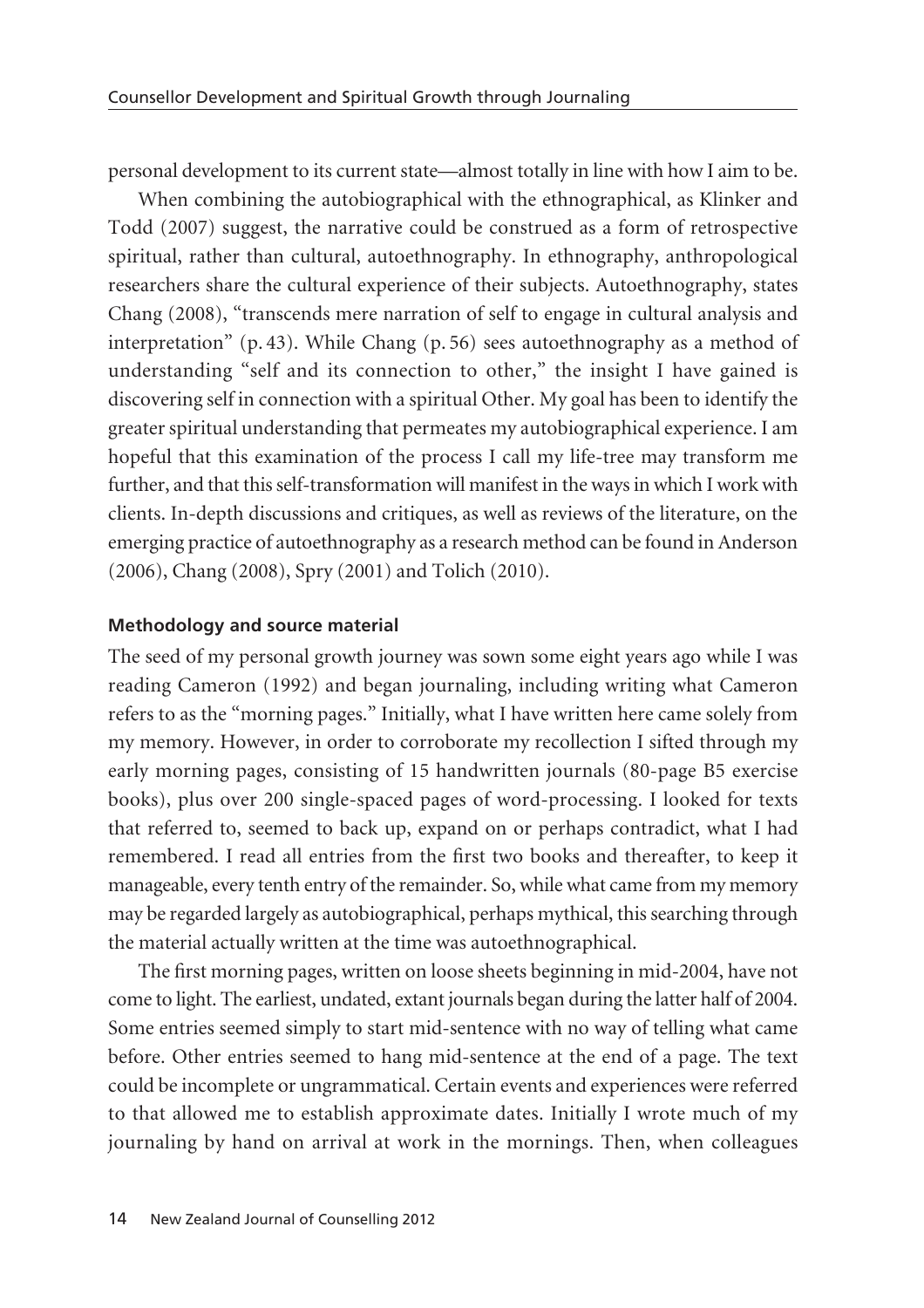personal development to its current state—almost totally in line with how I aim to be.

When combining the autobiographical with the ethnographical, as Klinker and Todd (2007) suggest, the narrative could be construed as a form of retrospective spiritual, rather than cultural, autoethnography. In ethnography, anthropological researchers share the cultural experience of their subjects. Autoethnography, states Chang (2008), "transcends mere narration of self to engage in cultural analysis and interpretation" (p. 43). While Chang (p. 56) sees autoethnography as a method of understanding "self and its connection to other," the insight I have gained is discovering self in connection with a spiritual Other. My goal has been to identify the greater spiritual understanding that permeates my autobiographical experience. I am hopeful that this examination of the process I call my life-tree may transform me further, and that this self-transformation will manifest in the ways in which I work with clients. In-depth discussions and critiques, as well as reviews of the literature, on the emerging practice of autoethnography as a research method can be found in Anderson (2006), Chang (2008), Spry (2001) and Tolich (2010).

## **Methodology and source material**

The seed of my personal growth journey was sown some eight years ago while I was reading Cameron (1992) and began journaling, including writing what Cameron refers to as the "morning pages." Initially, what I have written here came solely from my memory. However, in order to corroborate my recollection I sifted through my early morning pages, consisting of 15 handwritten journals (80-page B5 exercise books), plus over 200 single-spaced pages of word-processing. I looked for texts that referred to, seemed to back up, expand on or perhaps contradict, what I had remembered. I read all entries from the first two books and thereafter, to keep it manageable, every tenth entry of the remainder. So, while what came from my memory may be regarded largely as autobiographical, perhaps mythical, this searching through the material actually written at the time was autoethnographical.

The first morning pages, written on loose sheets beginning in mid-2004, have not come to light. The earliest, undated, extant journals began during the latter half of 2004. Some entries seemed simply to start mid-sentence with no way of telling what came before. Other entries seemed to hang mid-sentence at the end of a page. The text could be incomplete or ungrammatical. Certain events and experiences were referred to that allowed me to establish approximate dates. Initially I wrote much of my journaling by hand on arrival at work in the mornings. Then, when colleagues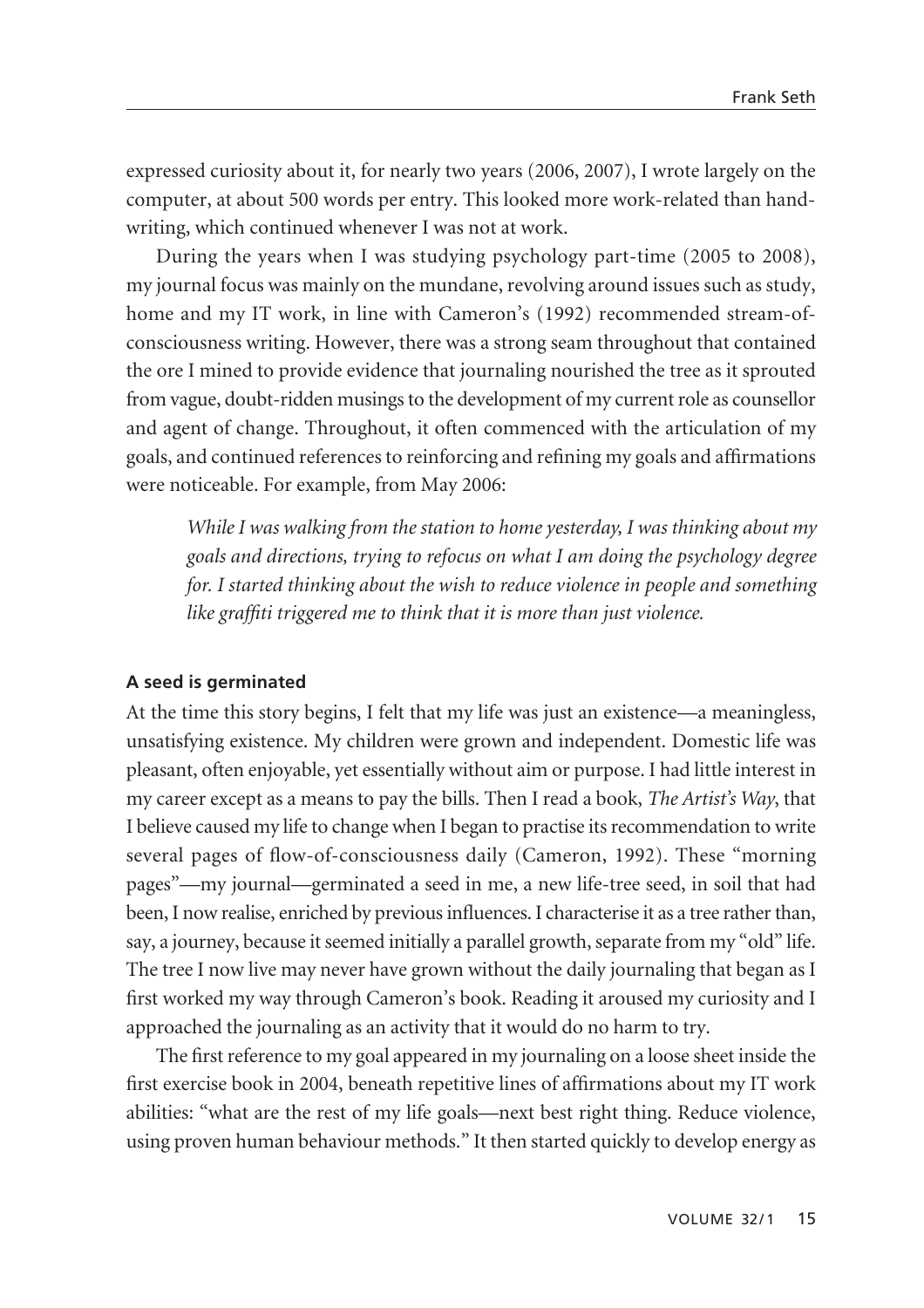expressed curiosity about it, for nearly two years (2006, 2007), I wrote largely on the computer, at about 500 words per entry. This looked more work-related than hand writing, which continued whenever I was not at work.

During the years when I was studying psychology part-time (2005 to 2008), my journal focus was mainly on the mundane, revolving around issues such as study, home and my IT work, in line with Cameron's (1992) recommended stream-ofconsciousness writing. However, there was a strong seam throughout that contained the ore I mined to provide evidence that journaling nourished the tree as it sprouted from vague, doubt-ridden musings to the development of my current role as counsellor and agent of change. Throughout, it often commenced with the articulation of my goals, and continued references to reinforcing and refining my goals and affirmations were noticeable. For example, from May 2006:

*While I was walking from the station to home yesterday, I was thinking about my goals and directions, trying to refocus on what I am doing the psychology degree for. I started thinking about the wish to reduce violence in people and something like graffiti triggered me to think that it is more than just violence.*

#### **A seed is germinated**

At the time this story begins, I felt that my life was just an existence—a meaningless, unsatisfying existence. My children were grown and independent. Domestic life was pleasant, often enjoyable, yet essentially without aim or purpose. I had little interest in my career except as a means to pay the bills. Then I read a book, *The Artist's Way*, that I believe caused my life to change when I began to practise its recommendation to write several pages of flow-of-consciousness daily (Cameron, 1992). These "morning pages"—my journal—germinated a seed in me, a new life-tree seed, in soil that had been, I now realise, enriched by previous influences. I characterise it as a tree rather than, say, a journey, because it seemed initially a parallel growth, separate from my "old" life. The tree I now live may never have grown without the daily journaling that began as I first worked my way through Cameron's book. Reading it aroused my curiosity and I approached the journaling as an activity that it would do no harm to try.

The first reference to my goal appeared in my journaling on a loose sheet inside the first exercise book in 2004, beneath repetitive lines of affirmations about my IT work abilities: "what are the rest of my life goals—next best right thing. Reduce violence, using proven human behaviour methods." It then started quickly to develop energy as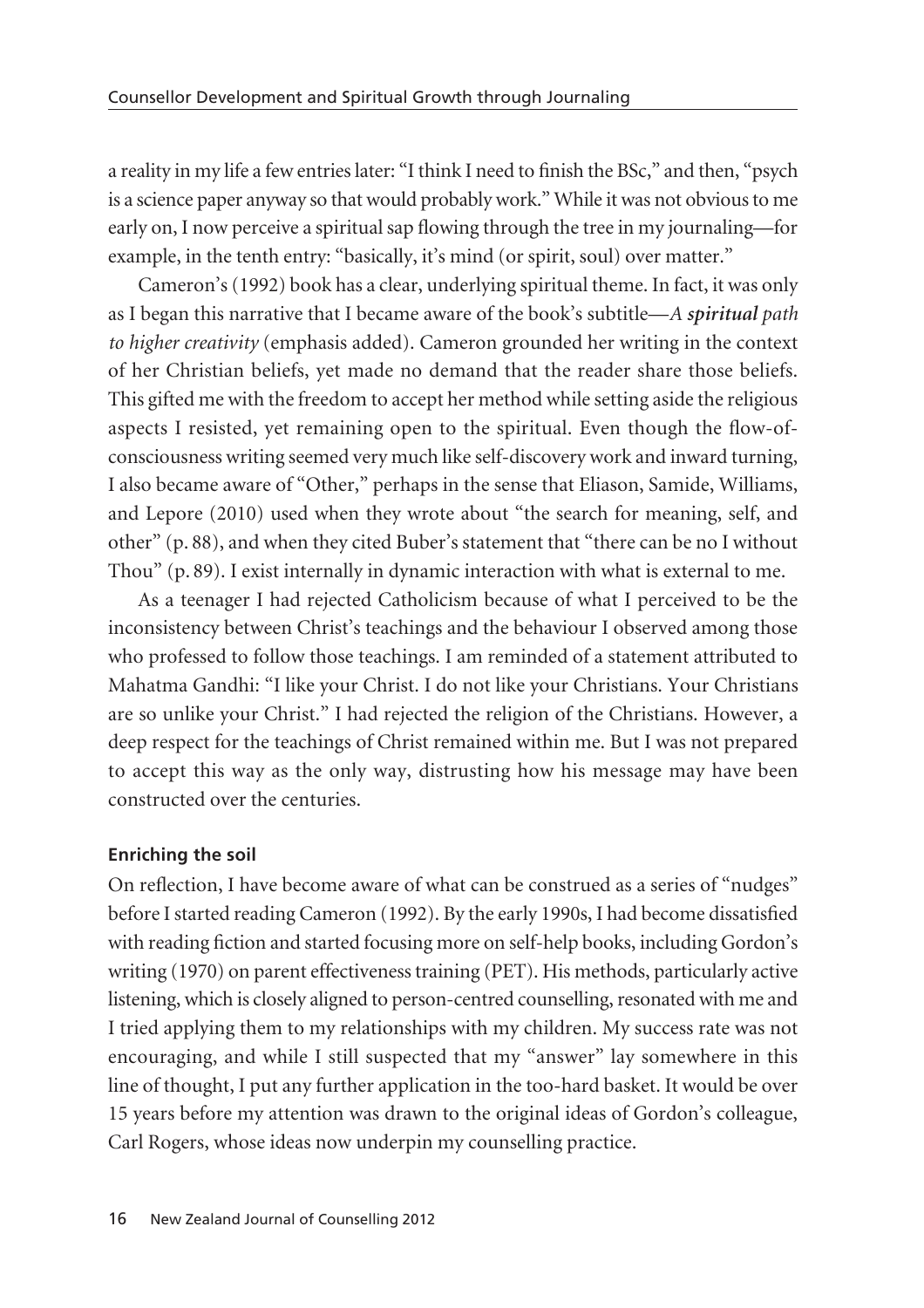a reality in my life a few entries later: "I think I need to finish the BSc," and then, "psych is a science paper anyway so that would probably work." While it was not obvious to me early on, I now perceive a spiritual sap flowing through the tree in my journaling—for example, in the tenth entry: "basically, it's mind (or spirit, soul) over matter."

Cameron's (1992) book has a clear, underlying spiritual theme. In fact, it was only as I began this narrative that I became aware of the book's subtitle—*A spiritual path to higher creativity* (emphasis added). Cameron grounded her writing in the context of her Christian beliefs, yet made no demand that the reader share those beliefs. This gifted me with the freedom to accept her method while setting aside the religious aspects I resisted, yet remaining open to the spiritual. Even though the flow-ofconsciousness writing seemed very much like self-discovery work and inward turning, I also became aware of "Other," perhaps in the sense that Eliason, Samide, Williams, and Lepore (2010) used when they wrote about "the search for meaning, self, and other" (p. 88), and when they cited Buber's statement that "there can be no I without Thou" (p. 89). I exist internally in dynamic interaction with what is external to me.

As a teenager I had rejected Catholicism because of what I perceived to be the inconsistency between Christ's teachings and the behaviour I observed among those who professed to follow those teachings. I am reminded of a statement attributed to Mahatma Gandhi: "I like your Christ. I do not like your Christians. Your Christians are so unlike your Christ." I had rejected the religion of the Christians. However, a deep respect for the teachings of Christ remained within me. But I was not prepared to accept this way as the only way, distrusting how his message may have been constructed over the centuries.

# **Enriching the soil**

On reflection, I have become aware of what can be construed as a series of "nudges" before I started reading Cameron (1992). By the early 1990s, I had become dissatisfied with reading fiction and started focusing more on self-help books, including Gordon's writing (1970) on parent effectiveness training (PET). His methods, particularly active listening, which is closely aligned to person-centred counselling, resonated with me and I tried applying them to my relationships with my children. My success rate was not encouraging, and while I still suspected that my "answer" lay somewhere in this line of thought, I put any further application in the too-hard basket. It would be over 15 years before my attention was drawn to the original ideas of Gordon's colleague, Carl Rogers, whose ideas now underpin my counselling practice.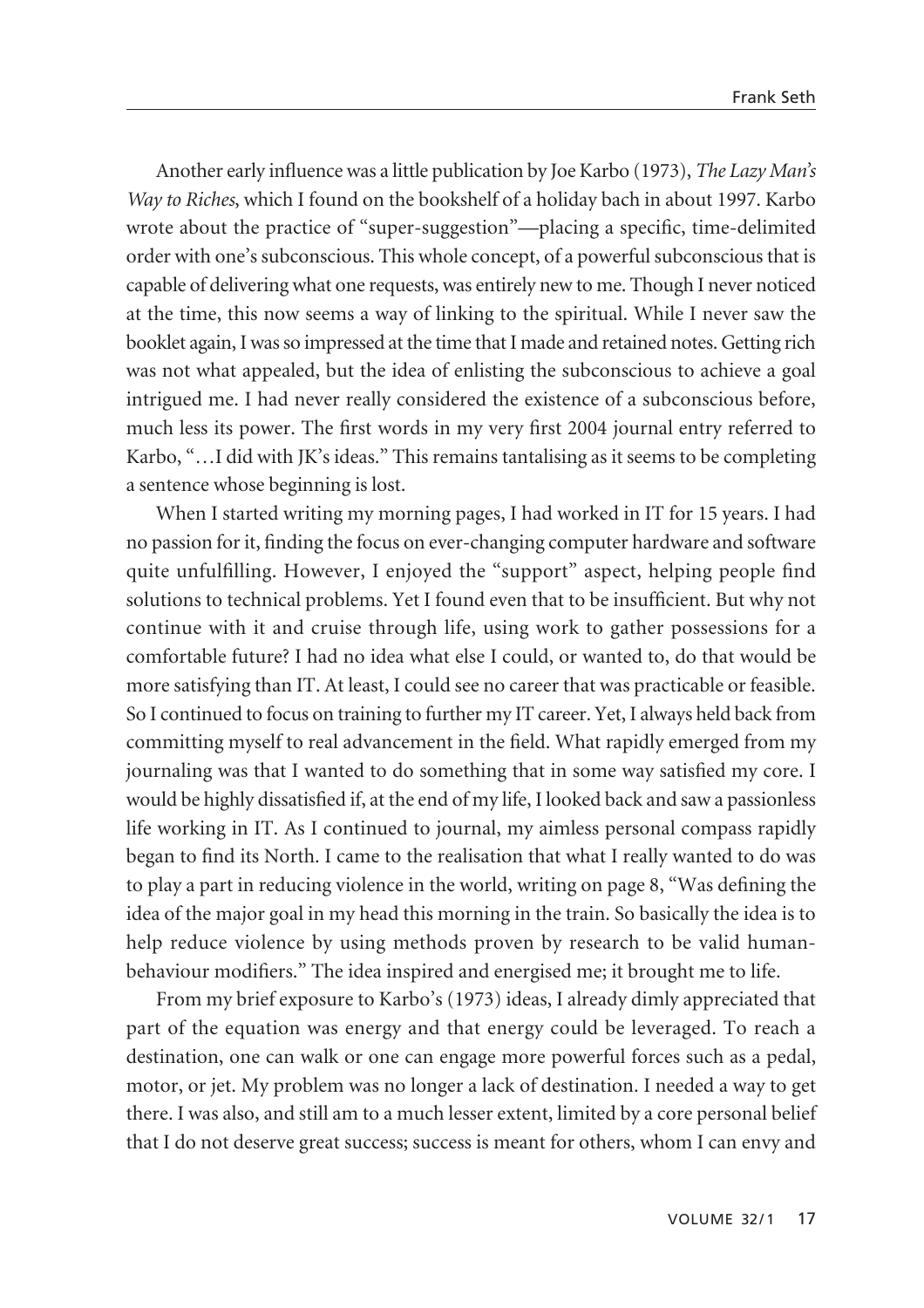Another early influence was a little publication by Joe Karbo (1973), *The Lazy Man's Way to Riches*, which I found on the bookshelf of a holiday bach in about 1997. Karbo wrote about the practice of "super-suggestion"—placing a specific, time-delimited order with one's subconscious. This whole concept, of a powerful subconscious that is capable of delivering what one requests, was entirely new to me. Though I never noticed at the time, this now seems a way of linking to the spiritual. While I never saw the booklet again, I was so impressed at the time that I made and retained notes. Getting rich was not what appealed, but the idea of enlisting the subconscious to achieve a goal intrigued me. I had never really considered the existence of a subconscious before, much less its power. The first words in my very first 2004 journal entry referred to Karbo, "…I did with JK's ideas." This remains tantalising as it seems to be completing a sentence whose beginning is lost.

When I started writing my morning pages, I had worked in IT for 15 years. I had no passion for it, finding the focus on ever-changing computer hardware and software quite unfulfilling. However, I enjoyed the "support" aspect, helping people find solutions to technical problems. Yet I found even that to be insufficient. But why not continue with it and cruise through life, using work to gather possessions for a comfortable future? I had no idea what else I could, or wanted to, do that would be more satisfying than IT. At least, I could see no career that was practicable or feasible. So I continued to focus on training to further my IT career. Yet, I always held back from committing myself to real advancement in the field. What rapidly emerged from my journaling was that I wanted to do something that in some way satisfied my core. I would be highly dissatisfied if, at the end of my life, I looked back and saw a passionless life working in IT. As I continued to journal, my aimless personal compass rapidly began to find its North. I came to the realisation that what I really wanted to do was to play a part in reducing violence in the world, writing on page 8, "Was defining the idea of the major goal in my head this morning in the train. So basically the idea is to help reduce violence by using methods proven by research to be valid humanbehaviour modifiers." The idea inspired and energised me; it brought me to life.

From my brief exposure to Karbo's (1973) ideas, I already dimly appreciated that part of the equation was energy and that energy could be leveraged. To reach a destination, one can walk or one can engage more powerful forces such as a pedal, motor, or jet. My problem was no longer a lack of destination. I needed a way to get there. I was also, and still am to a much lesser extent, limited by a core personal belief that I do not deserve great success; success is meant for others, whom I can envy and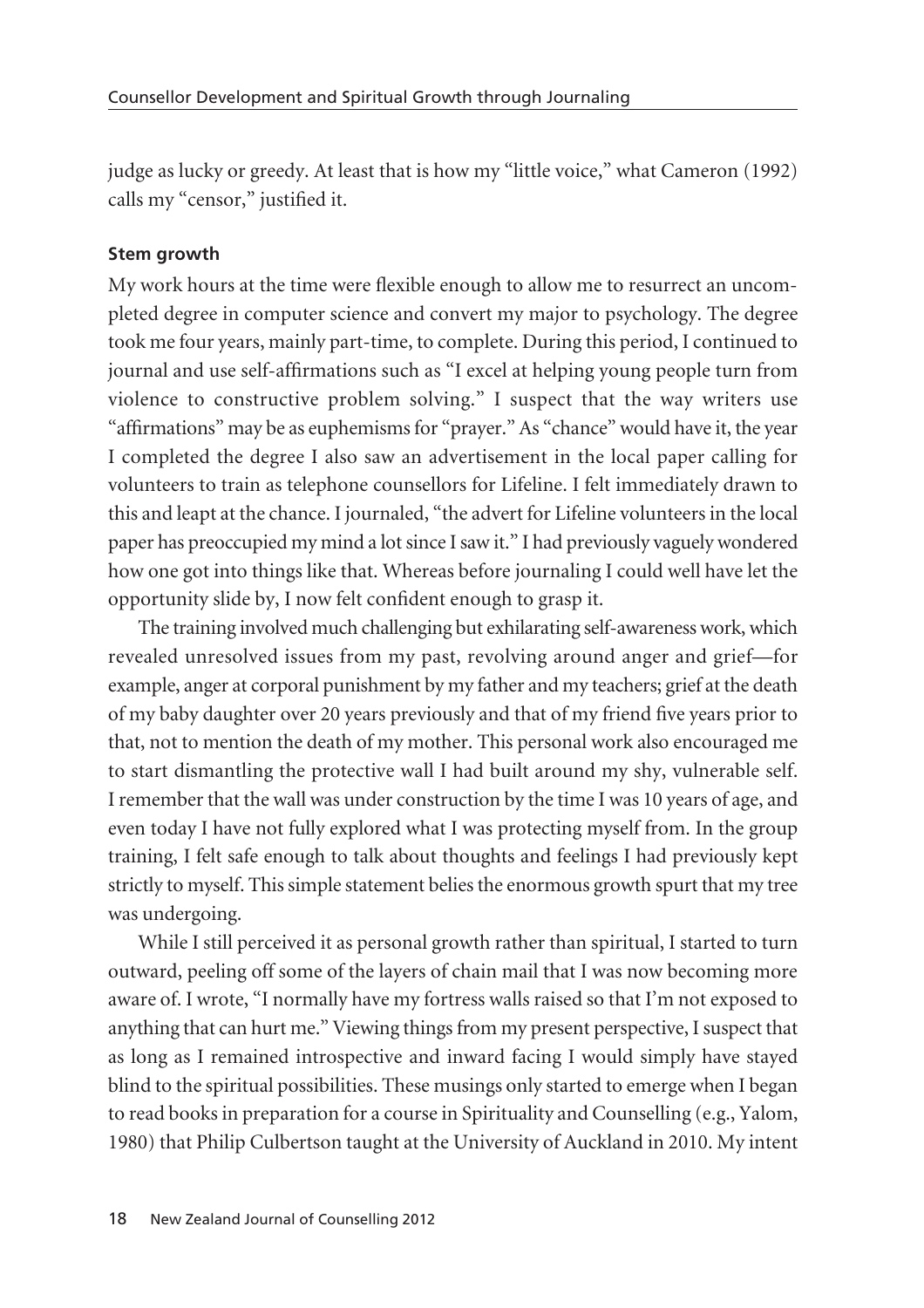judge as lucky or greedy. At least that is how my "little voice," what Cameron (1992) calls my "censor," justified it.

#### **Stem growth**

My work hours at the time were flexible enough to allow me to resurrect an uncompleted degree in computer science and convert my major to psychology. The degree took me four years, mainly part-time, to complete. During this period, I continued to journal and use self-affirmations such as "I excel at helping young people turn from violence to constructive problem solving." I suspect that the way writers use "affirmations" may be as euphemisms for "prayer." As "chance" would have it, the year I completed the degree I also saw an advertisement in the local paper calling for volunteers to train as telephone counsellors for Lifeline. I felt immediately drawn to this and leapt at the chance. I journaled, "the advert for Lifeline volunteers in the local paper has preoccupied my mind a lot since I saw it." I had previously vaguely wondered how one got into things like that. Whereas before journaling I could well have let the opportunity slide by, I now felt confident enough to grasp it.

The training involved much challenging but exhilarating self-awareness work, which revealed unresolved issues from my past, revolving around anger and grief—for example, anger at corporal punishment by my father and my teachers; grief at the death of my baby daughter over 20 years previously and that of my friend five years prior to that, not to mention the death of my mother. This personal work also encouraged me to start dismantling the protective wall I had built around my shy, vulnerable self. I remember that the wall was under construction by the time I was 10 years of age, and even today I have not fully explored what I was protecting myself from. In the group training, I felt safe enough to talk about thoughts and feelings I had previously kept strictly to myself. This simple statement belies the enormous growth spurt that my tree was undergoing.

While I still perceived it as personal growth rather than spiritual, I started to turn outward, peeling off some of the layers of chain mail that I was now becoming more aware of. I wrote, "I normally have my fortress walls raised so that I'm not exposed to anything that can hurt me." Viewing things from my present perspective, I suspect that as long as I remained introspective and inward facing I would simply have stayed blind to the spiritual possibilities. These musings only started to emerge when I began to read books in preparation for a course in Spirituality and Counselling (e.g., Yalom, 1980) that Philip Culbertson taught at the University of Auckland in 2010. My intent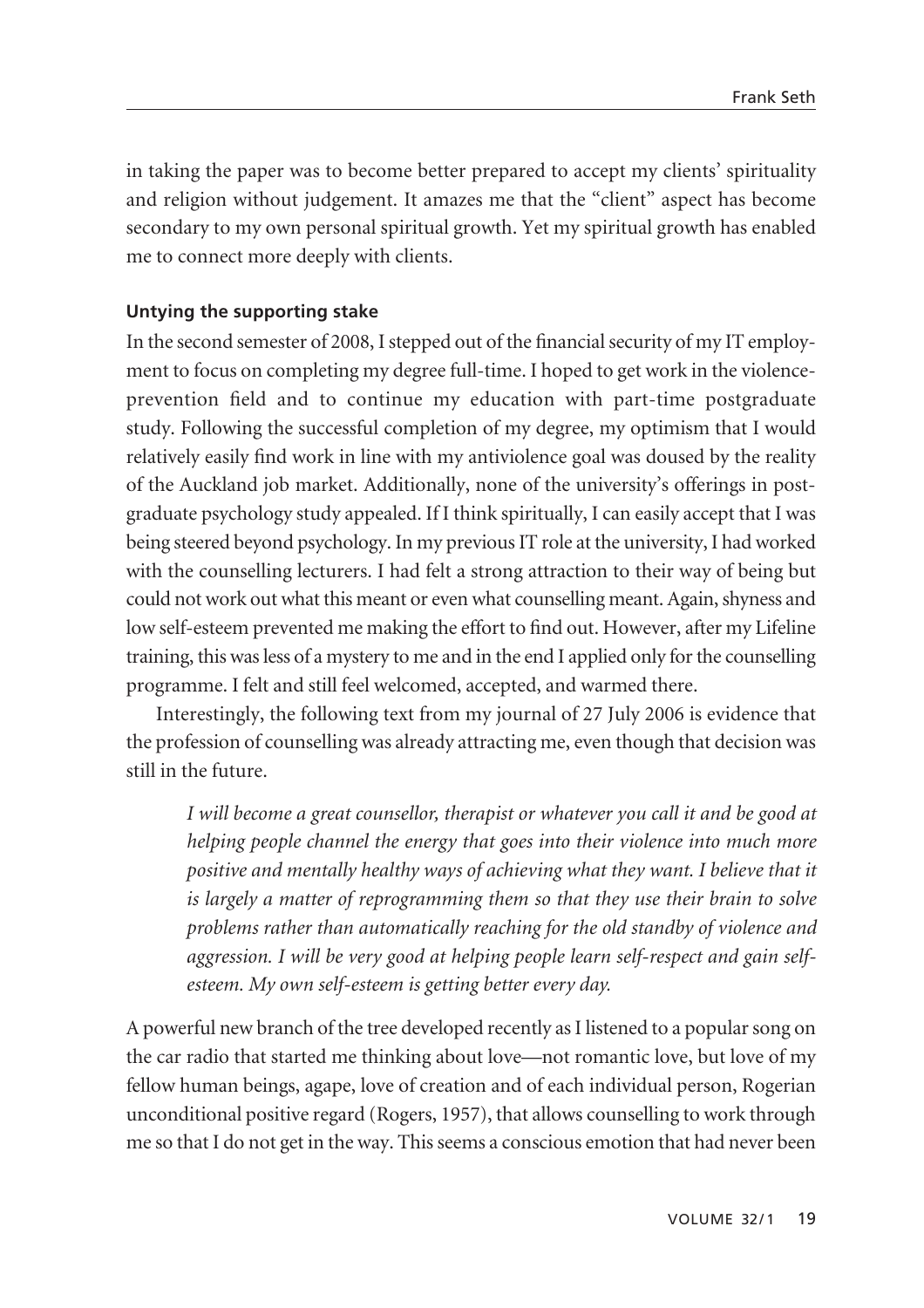in taking the paper was to become better prepared to accept my clients' spirituality and religion without judgement. It amazes me that the "client" aspect has become secondary to my own personal spiritual growth. Yet my spiritual growth has enabled me to connect more deeply with clients.

## **Untying the supporting stake**

In the second semester of 2008, I stepped out of the financial security of my IT employment to focus on completing my degree full-time. I hoped to get work in the violenceprevention field and to continue my education with part-time postgraduate study. Following the successful completion of my degree, my optimism that I would relatively easily find work in line with my antiviolence goal was doused by the reality of the Auckland job market. Additionally, none of the university's offerings in postgraduate psychology study appealed. If I think spiritually, I can easily accept that I was being steered beyond psychology. In my previous IT role at the university, I had worked with the counselling lecturers. I had felt a strong attraction to their way of being but could not work out what this meant or even what counselling meant. Again, shyness and low self-esteem prevented me making the effort to find out. However, after my Lifeline training, this was less of a mystery to me and in the end I applied only for the counselling programme. I felt and still feel welcomed, accepted, and warmed there.

Interestingly, the following text from my journal of 27 July 2006 is evidence that the profession of counselling was already attracting me, even though that decision was still in the future.

*I will become a great counsellor, therapist or whatever you call it and be good at helping people channel the energy that goes into their violence into much more positive and mentally healthy ways of achieving what they want. I believe that it is largely a matter of reprogramming them so that they use their brain to solve problems rather than automatically reaching for the old standby of violence and aggression. I will be very good at helping people learn self-respect and gain selfesteem. My own self-esteem is getting better every day.*

A powerful new branch of the tree developed recently as I listened to a popular song on the car radio that started me thinking about love—not romantic love, but love of my fellow human beings, agape, love of creation and of each individual person, Rogerian unconditional positive regard (Rogers, 1957), that allows counselling to work through me so that I do not get in the way. This seems a conscious emotion that had never been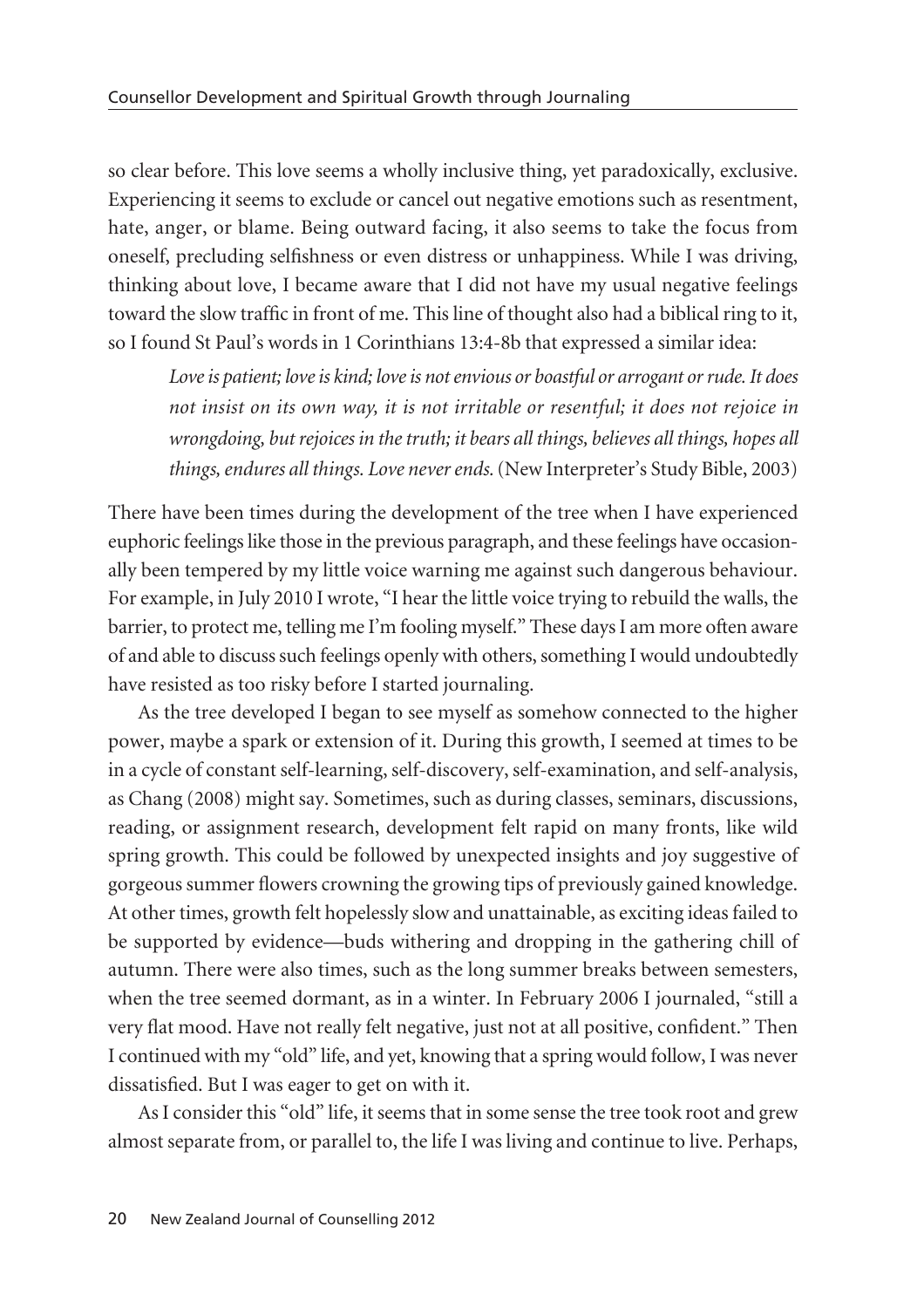so clear before. This love seems a wholly inclusive thing, yet paradoxically, exclusive. Experiencing it seems to exclude or cancel out negative emotions such as resentment, hate, anger, or blame. Being outward facing, it also seems to take the focus from oneself, precluding selfishness or even distress or unhappiness. While I was driving, thinking about love, I became aware that I did not have my usual negative feelings toward the slow traffic in front of me. This line of thought also had a biblical ring to it, so I found St Paul's words in 1 Corinthians 13:4-8b that expressed a similar idea:

*Love is patient; love is kind; love is not envious or boastful or arrogant or rude. It does not insist on its own way, it is not irritable or resentful; it does not rejoice in wrongdoing, but rejoices in the truth; it bears all things, believes all things, hopes all things, endures all things. Love never ends.* (New Interpreter's Study Bible, 2003)

There have been times during the development of the tree when I have experienced euphoric feelings like those in the previous paragraph, and these feelings have occasion ally been tempered by my little voice warning me against such dangerous behaviour. For example, in July 2010 I wrote, "I hear the little voice trying to rebuild the walls, the barrier, to protect me, telling me I'm fooling myself." These days I am more often aware of and able to discuss such feelings openly with others, something I would undoubtedly have resisted as too risky before I started journaling.

As the tree developed I began to see myself as somehow connected to the higher power, maybe a spark or extension of it. During this growth, I seemed at times to be in a cycle of constant self-learning, self-discovery, self-examination, and self-analysis, as Chang (2008) might say. Sometimes, such as during classes, seminars, discussions, reading, or assignment research, development felt rapid on many fronts, like wild spring growth. This could be followed by unexpected insights and joy suggestive of gorgeous summer flowers crowning the growing tips of previously gained knowledge. At other times, growth felt hopelessly slow and unattainable, as exciting ideas failed to be supported by evidence—buds withering and dropping in the gathering chill of autumn. There were also times, such as the long summer breaks between semesters, when the tree seemed dormant, as in a winter. In February 2006 I journaled, "still a very flat mood. Have not really felt negative, just not at all positive, confident." Then I continued with my "old" life, and yet, knowing that a spring would follow, I was never dissatisfied. But I was eager to get on with it.

As I consider this "old" life, it seems that in some sense the tree took root and grew almost separate from, or parallel to, the life I was living and continue to live. Perhaps,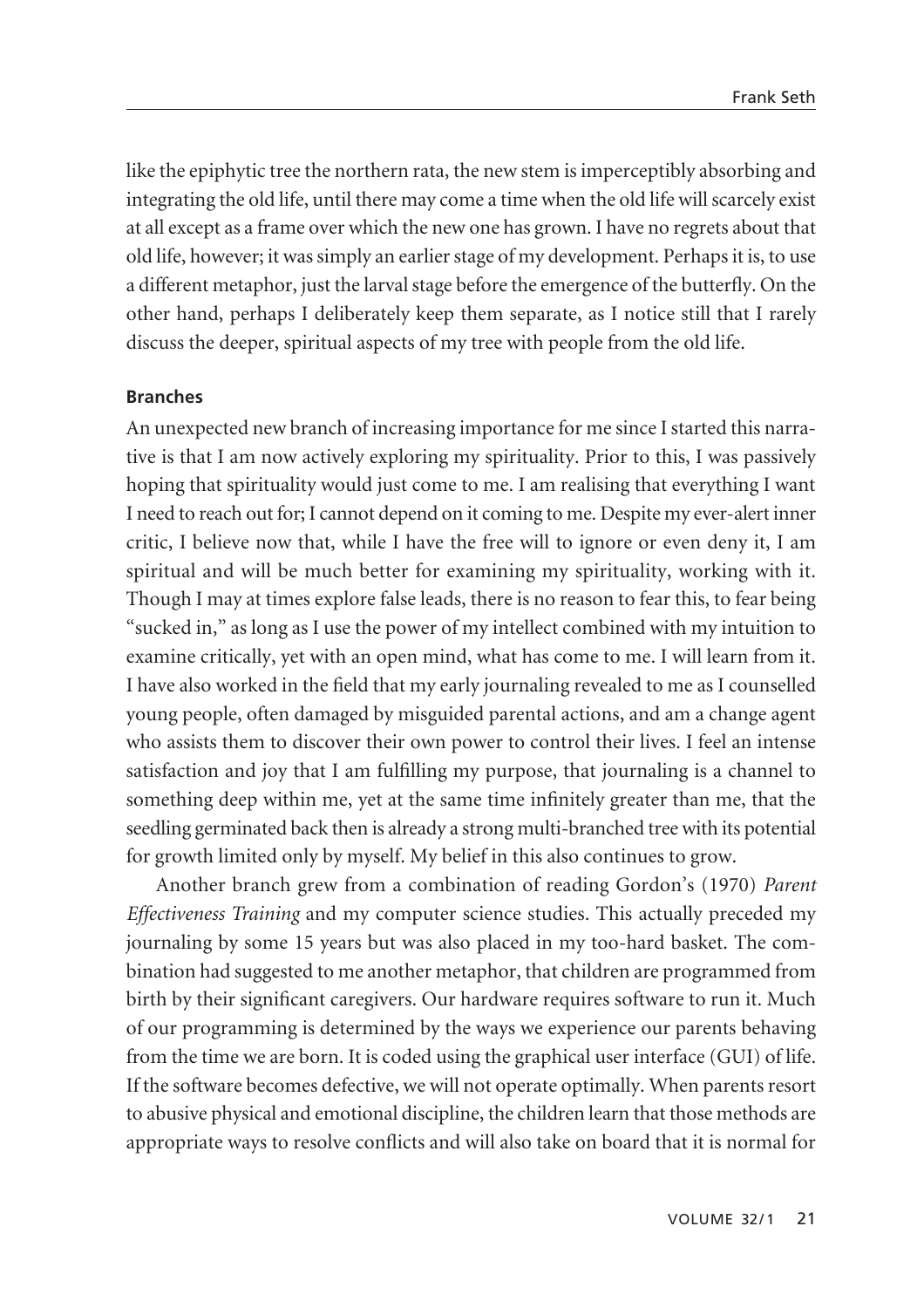like the epiphytic tree the northern rata, the new stem is imperceptibly absorbing and integrating the old life, until there may come a time when the old life will scarcely exist at all except as a frame over which the new one has grown. I have no regrets about that old life, however; it was simply an earlier stage of my development. Perhaps it is, to use a different metaphor, just the larval stage before the emergence of the butterfly. On the other hand, perhaps I deliberately keep them separate, as I notice still that I rarely discuss the deeper, spiritual aspects of my tree with people from the old life.

#### **Branches**

An unexpected new branch of increasing importance for me since I started this narra tive is that I am now actively exploring my spirituality. Prior to this, I was passively hoping that spirituality would just come to me. I am realising that everything I want I need to reach out for; I cannot depend on it coming to me. Despite my ever-alert inner critic, I believe now that, while I have the free will to ignore or even deny it, I am spiritual and will be much better for examining my spirituality, working with it. Though I may at times explore false leads, there is no reason to fear this, to fear being "sucked in," as long as I use the power of my intellect combined with my intuition to examine critically, yet with an open mind, what has come to me. I will learn from it. I have also worked in the field that my early journaling revealed to me as I counselled young people, often damaged by misguided parental actions, and am a change agent who assists them to discover their own power to control their lives. I feel an intense satisfaction and joy that I am fulfilling my purpose, that journaling is a channel to something deep within me, yet at the same time infinitely greater than me, that the seedling germinated back then is already a strong multi-branched tree with its potential for growth limited only by myself. My belief in this also continues to grow.

Another branch grew from a combination of reading Gordon's (1970) *Parent Effectiveness Training* and my computer science studies. This actually preceded my journaling by some 15 years but was also placed in my too-hard basket. The combination had suggested to me another metaphor, that children are programmed from birth by their significant caregivers. Our hardware requires software to run it. Much of our programming is determined by the ways we experience our parents behaving from the time we are born. It is coded using the graphical user interface (GUI) of life. If the software becomes defective, we will not operate optimally. When parents resort to abusive physical and emotional discipline, the children learn that those methods are appropriate ways to resolve conflicts and will also take on board that it is normal for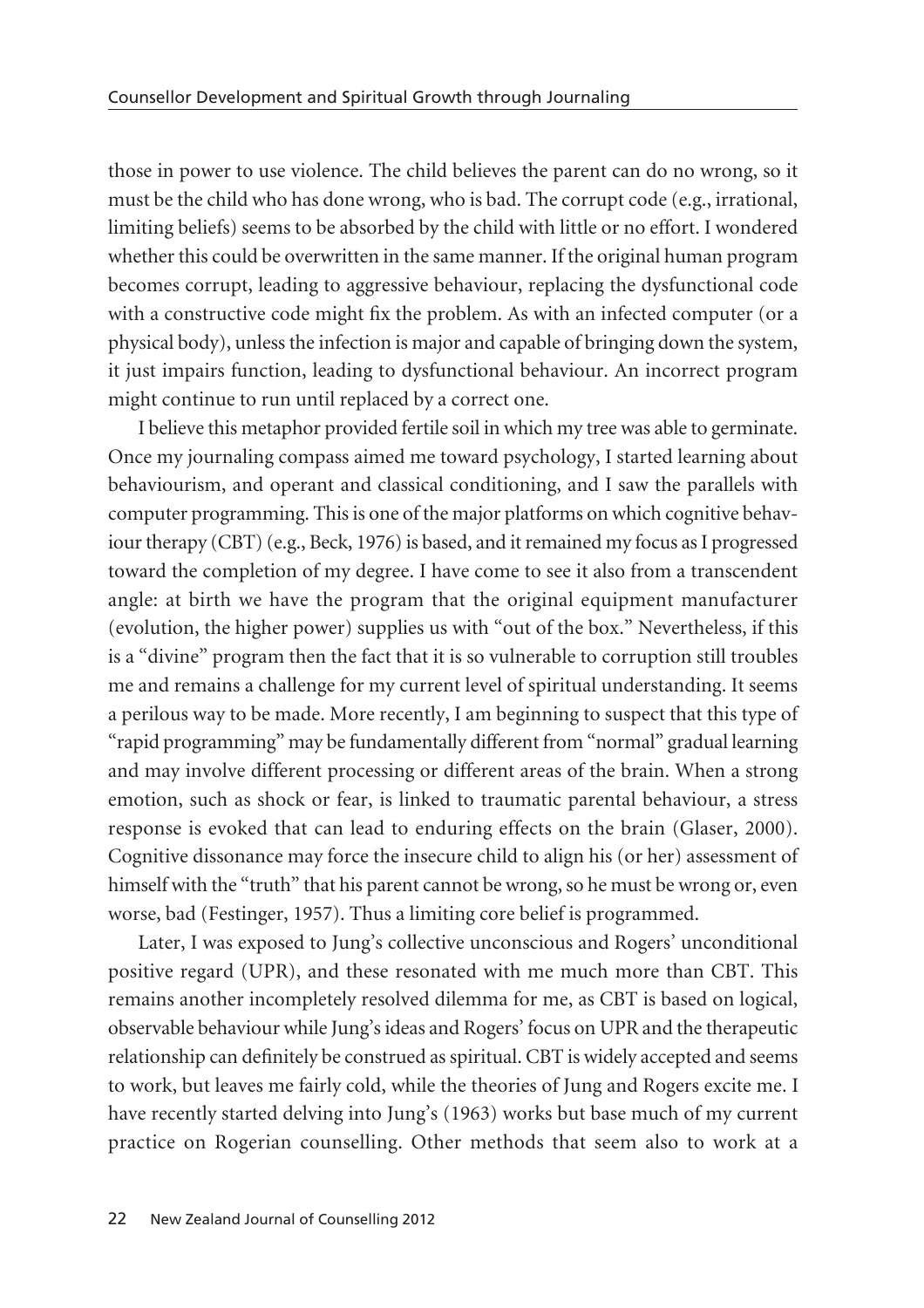those in power to use violence. The child believes the parent can do no wrong, so it must be the child who has done wrong, who is bad. The corrupt code (e.g., irrational, limiting beliefs) seems to be absorbed by the child with little or no effort. I wondered whether this could be overwritten in the same manner. If the original human program becomes corrupt, leading to aggressive behaviour, replacing the dysfunctional code with a constructive code might fix the problem. As with an infected computer (or a physical body), unless the infection is major and capable of bringing down the system, it just impairs function, leading to dysfunctional behaviour. An incorrect program might continue to run until replaced by a correct one.

I believe this metaphor provided fertile soil in which my tree was able to germinate. Once my journaling compass aimed me toward psychology, I started learning about behaviourism, and operant and classical conditioning, and I saw the parallels with computer programming. This is one of the major platforms on which cognitive behav iour therapy (CBT) (e.g., Beck, 1976) is based, and it remained my focus as I progressed toward the completion of my degree. I have come to see it also from a transcendent angle: at birth we have the program that the original equipment manufacturer (evolution, the higher power) supplies us with "out of the box." Nevertheless, if this is a "divine" program then the fact that it is so vulnerable to corruption still troubles me and remains a challenge for my current level of spiritual understanding. It seems a perilous way to be made. More recently, I am beginning to suspect that this type of "rapid programming" may be fundamentally different from "normal" gradual learning and may involve different processing or different areas of the brain. When a strong emotion, such as shock or fear, is linked to traumatic parental behaviour, a stress response is evoked that can lead to enduring effects on the brain (Glaser, 2000). Cognitive dissonance may force the insecure child to align his (or her) assessment of himself with the "truth" that his parent cannot be wrong, so he must be wrong or, even worse, bad (Festinger, 1957). Thus a limiting core belief is programmed.

Later, I was exposed to Jung's collective unconscious and Rogers' unconditional positive regard (UPR), and these resonated with me much more than CBT. This remains another incompletely resolved dilemma for me, as CBT is based on logical, observable behaviour while Jung's ideas and Rogers' focus on UPR and the therapeutic relationship can definitely be construed as spiritual. CBT is widely accepted and seems to work, but leaves me fairly cold, while the theories of Jung and Rogers excite me. I have recently started delving into Jung's (1963) works but base much of my current practice on Rogerian counselling. Other methods that seem also to work at a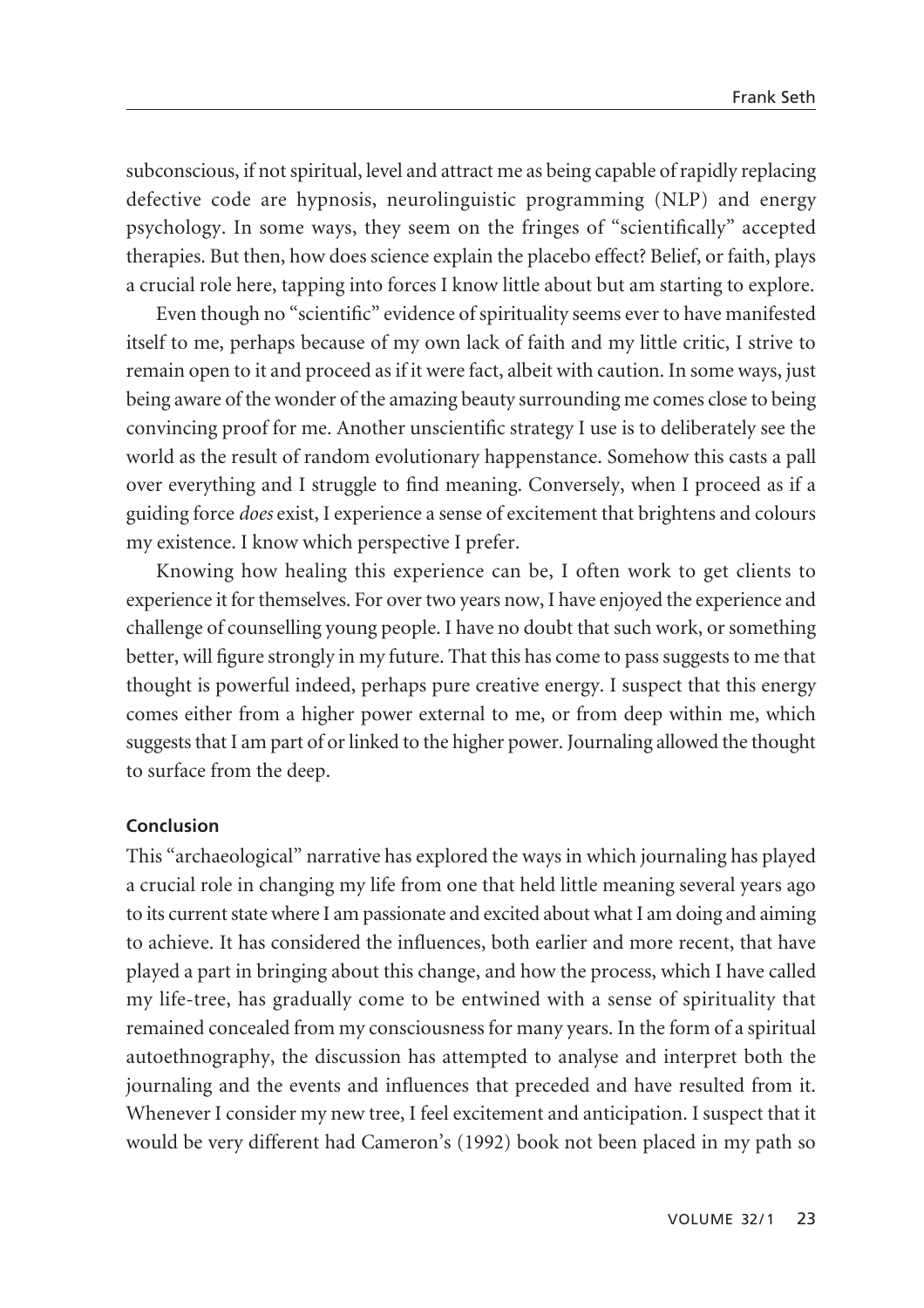subconscious, if not spiritual, level and attract me as being capable of rapidly replacing defective code are hypnosis, neurolinguistic programming (NLP) and energy psychology. In some ways, they seem on the fringes of "scientifically" accepted therapies. But then, how does science explain the placebo effect? Belief, or faith, plays a crucial role here, tapping into forces I know little about but am starting to explore.

Even though no "scientific" evidence of spirituality seems ever to have manifested itself to me, perhaps because of my own lack of faith and my little critic, I strive to remain open to it and proceed as if it were fact, albeit with caution. In some ways, just being aware of the wonder of the amazing beauty surrounding me comes close to being convincing proof for me. Another unscientific strategy I use is to deliberately see the world as the result of random evolutionary happenstance. Somehow this casts a pall over everything and I struggle to find meaning. Conversely, when I proceed as if a guiding force *does* exist, I experience a sense of excitement that brightens and colours my existence. I know which perspective I prefer.

Knowing how healing this experience can be, I often work to get clients to experience it for themselves. For over two years now, I have enjoyed the experience and challenge of counselling young people. I have no doubt that such work, or something better, will figure strongly in my future. That this has come to pass suggests to me that thought is powerful indeed, perhaps pure creative energy. I suspect that this energy comes either from a higher power external to me, or from deep within me, which suggests that I am part of or linked to the higher power. Journaling allowed the thought to surface from the deep.

## **Conclusion**

This "archaeological" narrative has explored the ways in which journaling has played a crucial role in changing my life from one that held little meaning several years ago to its current state where I am passionate and excited about what I am doing and aiming to achieve. It has considered the influences, both earlier and more recent, that have played a part in bringing about this change, and how the process, which I have called my life-tree, has gradually come to be entwined with a sense of spirituality that remained concealed from my consciousness for many years. In the form of a spiritual autoethnography, the discussion has attempted to analyse and interpret both the journaling and the events and influences that preceded and have resulted from it. Whenever I consider my new tree, I feel excitement and anticipation. I suspect that it would be very different had Cameron's (1992) book not been placed in my path so